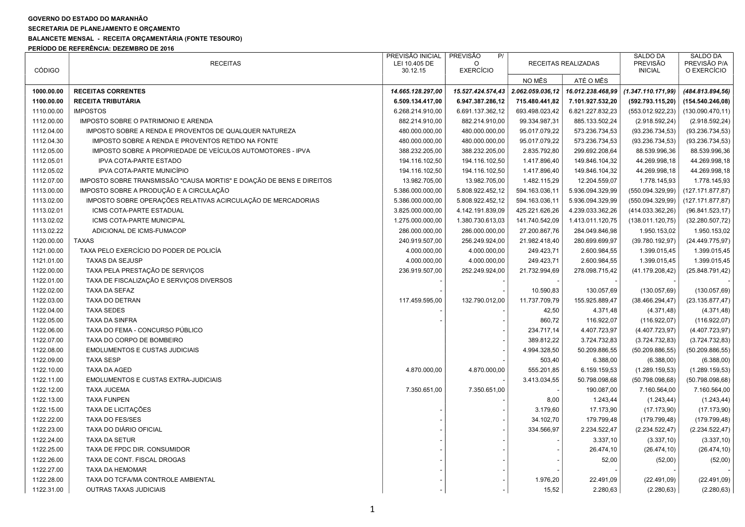## GOVERNO DO ESTADO DO MARANHÃO

SECRETARIA DE PLANEJAMENTO E ORÇAMENTO

## BALANCETE MENSAL - RECEITA ORÇAMENTÁRIA (FONTE TESOURO)

PERÍODO DE REFERÊNCIA: DEZEMBRO DE 2016

| <b>CÓDIGO</b> | <b>RECEITAS</b>                                                      | PREVISÃO INICIAL<br>LEI 10.405 DE<br>30.12.15 | PREVISÃO<br>P/<br>$\Omega$<br><b>EXERCÍCIO</b> |                  | RECEITAS REALIZADAS | <b>SALDO DA</b><br><b>PREVISÃO</b><br><b>INICIAL</b> | SALDO DA<br>PREVISÃO P/A<br>O EXERCÍCIO |
|---------------|----------------------------------------------------------------------|-----------------------------------------------|------------------------------------------------|------------------|---------------------|------------------------------------------------------|-----------------------------------------|
|               |                                                                      |                                               |                                                | NO MÊS           | ATÉ O MÊS           |                                                      |                                         |
| 1000.00.00    | <b>RECEITAS CORRENTES</b>                                            | 14.665.128.297,00                             | 15.527.424.574,43                              | 2.062.059.036,12 | 16.012.238.468,99   | (1.347.110.171,99)                                   | (484.813.894, 56)                       |
| 1100.00.00    | <b>RECEITA TRIBUTÁRIA</b>                                            | 6.509.134.417,00                              | 6.947.387.286,12                               | 715.480.441,82   | 7.101.927.532,20    | (592.793.115,20)                                     | (154.540.246,08)                        |
| 1110.00.00    | <b>IMPOSTOS</b>                                                      | 6.268.214.910,00                              | 6.691.137.362,12                               | 693.498.023,42   | 6.821.227.832,23    | (553.012.922,23)                                     | (130.090.470, 11)                       |
| 1112.00.00    | IMPOSTO SOBRE O PATRIMONIO E ARENDA                                  | 882.214.910,00                                | 882.214.910,00                                 | 99.334.987,31    | 885.133.502,24      | (2.918.592, 24)                                      | (2.918.592, 24)                         |
| 1112.04.00    | IMPOSTO SOBRE A RENDA E PROVENTOS DE QUALQUER NATUREZA               | 480.000.000,00                                | 480.000.000,00                                 | 95.017.079,22    | 573.236.734,53      | (93.236.734, 53)                                     | (93.236.734, 53)                        |
| 1112.04.30    | IMPOSTO SOBRE A RENDA E PROVENTOS RETIDO NA FONTE                    | 480.000.000,00                                | 480.000.000,00                                 | 95.017.079,22    | 573.236.734,53      | (93.236.734, 53)                                     | (93.236.734, 53)                        |
| 1112.05.00    | IMPOSTO SOBRE A PROPRIEDADE DE VEÍCULOS AUTOMOTORES - IPVA           | 388.232.205,00                                | 388.232.205,00                                 | 2.835.792,80     | 299.692.208,64      | 88.539.996,36                                        | 88.539.996,36                           |
| 1112.05.01    | IPVA COTA-PARTE ESTADO                                               | 194.116.102,50                                | 194.116.102,50                                 | 1.417.896,40     | 149.846.104,32      | 44.269.998,18                                        | 44.269.998,18                           |
| 1112.05.02    | IPVA COTA-PARTE MUNICÍPIO                                            | 194.116.102,50                                | 194.116.102,50                                 | 1.417.896,40     | 149.846.104,32      | 44.269.998,18                                        | 44.269.998,18                           |
| 1112.07.00    | IMPOSTO SOBRE TRANSMISSÃO "CAUSA MORTIS" E DOAÇÃO DE BENS E DIREITOS | 13.982.705,00                                 | 13.982.705,00                                  | 1.482.115,29     | 12.204.559,07       | 1.778.145,93                                         | 1.778.145,93                            |
| 1113.00.00    | IMPOSTO SOBRE A PRODUÇÃO E A CIRCULAÇÃO                              | 5.386.000.000,00                              | 5.808.922.452,12                               | 594.163.036,11   | 5.936.094.329,99    | (550.094.329,99)                                     | (127.171.877, 87)                       |
| 1113.02.00    | IMPOSTO SOBRE OPERAÇÕES RELATIVAS ACIRCULAÇÃO DE MERCADORIAS         | 5.386.000.000,00                              | 5.808.922.452,12                               | 594.163.036,11   | 5.936.094.329,99    | (550.094.329,99)                                     | (127.171.877, 87)                       |
| 1113.02.01    | ICMS COTA-PARTE ESTADUAL                                             | 3.825.000.000,00                              | 4.142.191.839,09                               | 425.221.626,26   | 4.239.033.362,26    | (414.033.362,26)                                     | (96.841.523, 17)                        |
| 1113.02.02    | ICMS COTA-PARTE MUNICIPAL                                            | 1.275.000.000,00                              | 1.380.730.613,03                               | 141.740.542,09   | 1.413.011.120,75    | (138.011.120.75)                                     | (32.280.507,72)                         |
| 1113.02.22    | ADICIONAL DE ICMS-FUMACOP                                            | 286.000.000,00                                | 286.000.000,00                                 | 27.200.867,76    | 284.049.846,98      | 1.950.153,02                                         | 1.950.153,02                            |
| 1120.00.00    | <b>TAXAS</b>                                                         | 240.919.507,00                                | 256.249.924,00                                 | 21.982.418,40    | 280.699.699,97      | (39.780.192, 97)                                     | (24.449.775,97)                         |
| 1121.00.00    | TAXA PELO EXERCÍCIO DO PODER DE POLICÍA                              | 4.000.000,00                                  | 4.000.000,00                                   | 249.423,71       | 2.600.984,55        | 1.399.015,45                                         | 1.399.015,45                            |
| 1121.01.00    | <b>TAXAS DA SEJUSP</b>                                               | 4.000.000,00                                  | 4.000.000,00                                   | 249.423,71       | 2.600.984,55        | 1.399.015,45                                         | 1.399.015,45                            |
| 1122.00.00    | TAXA PELA PRESTAÇÃO DE SERVIÇOS                                      | 236.919.507,00                                | 252.249.924,00                                 | 21.732.994,69    | 278.098.715,42      | (41.179.208, 42)                                     | (25.848.791, 42)                        |
| 1122.01.00    | TAXA DE FISCALIZAÇÃO E SERVIÇOS DIVERSOS                             |                                               |                                                |                  |                     |                                                      |                                         |
| 1122.02.00    | TAXA DA SEFAZ                                                        |                                               |                                                | 10.590,83        | 130.057,69          | (130.057, 69)                                        | (130.057, 69)                           |
| 1122.03.00    | TAXA DO DETRAN                                                       | 117.459.595,00                                | 132.790.012,00                                 | 11.737.709,79    | 155.925.889,47      | (38.466.294, 47)                                     | (23.135.877, 47)                        |
| 1122.04.00    | <b>TAXA SEDES</b>                                                    |                                               |                                                | 42,50            | 4.371,48            | (4.371, 48)                                          | (4.371, 48)                             |
| 1122.05.00    | <b>TAXA DA SINFRA</b>                                                |                                               |                                                | 860,72           | 116.922,07          | (116.922,07)                                         | (116.922,07)                            |
| 1122.06.00    | TAXA DO FEMA - CONCURSO PÚBLICO                                      |                                               |                                                | 234.717,14       | 4.407.723,97        | (4.407.723,97)                                       | (4.407.723,97)                          |
| 1122.07.00    | TAXA DO CORPO DE BOMBEIRO                                            |                                               |                                                | 389.812,22       | 3.724.732,83        | (3.724.732, 83)                                      | (3.724.732, 83)                         |
| 1122.08.00    | <b>EMOLUMENTOS E CUSTAS JUDICIAIS</b>                                |                                               |                                                | 4.994.328,50     | 50.209.886,55       | (50.209.886, 55)                                     | (50.209.886, 55)                        |
| 1122.09.00    | <b>TAXA SESP</b>                                                     |                                               |                                                | 503,40           | 6.388,00            | (6.388,00)                                           | (6.388,00)                              |
| 1122.10.00    | <b>TAXA DA AGED</b>                                                  | 4.870.000,00                                  | 4.870.000,00                                   | 555.201,85       | 6.159.159,53        | (1.289.159.53)                                       | (1.289.159.53)                          |
| 1122.11.00    | <b>EMOLUMENTOS E CUSTAS EXTRA-JUDICIAIS</b>                          |                                               |                                                | 3.413.034,55     | 50.798.098,68       | (50.798.098, 68)                                     | (50.798.098, 68)                        |
| 1122.12.00    | <b>TAXA JUCEMA</b>                                                   | 7.350.651,00                                  | 7.350.651,00                                   |                  | 190.087,00          | 7.160.564,00                                         | 7.160.564,00                            |
| 1122.13.00    | <b>TAXA FUNPEN</b>                                                   |                                               |                                                | 8,00             | 1.243,44            | (1.243, 44)                                          | (1.243, 44)                             |
| 1122.15.00    | <b>TAXA DE LICITAÇÕES</b>                                            |                                               |                                                | 3.179,60         | 17.173,90           | (17.173,90)                                          | (17.173,90)                             |
| 1122.22.00    | <b>TAXA DO FES/SES</b>                                               |                                               |                                                | 34.102,70        | 179.799,48          | (179.799,48)                                         | (179.799,48)                            |
| 1122.23.00    | TAXA DO DIÁRIO OFICIAL                                               |                                               |                                                | 334.566,97       | 2.234.522,47        | (2.234.522, 47)                                      | (2.234.522, 47)                         |
| 1122.24.00    | <b>TAXA DA SETUR</b>                                                 |                                               |                                                |                  | 3.337,10            | (3.337, 10)                                          | (3.337, 10)                             |
| 1122.25.00    | TAXA DE FPDC DIR. CONSUMIDOR                                         |                                               |                                                |                  | 26.474,10           | (26.474, 10)                                         | (26.474, 10)                            |
| 1122.26.00    | TAXA DE CONT. FISCAL DROGAS                                          |                                               |                                                |                  | 52,00               | (52,00)                                              | (52,00)                                 |
| 1122.27.00    | TAXA DA HEMOMAR                                                      |                                               |                                                |                  |                     |                                                      |                                         |
| 1122.28.00    | TAXA DO TCFA/MA CONTROLE AMBIENTAL                                   |                                               |                                                | 1.976,20         | 22.491,09           | (22.491,09)                                          | (22.491,09)                             |
| 1122.31.00    | <b>OUTRAS TAXAS JUDICIAIS</b>                                        |                                               |                                                | 15,52            | 2.280,63            | (2.280, 63)                                          | (2.280, 63)                             |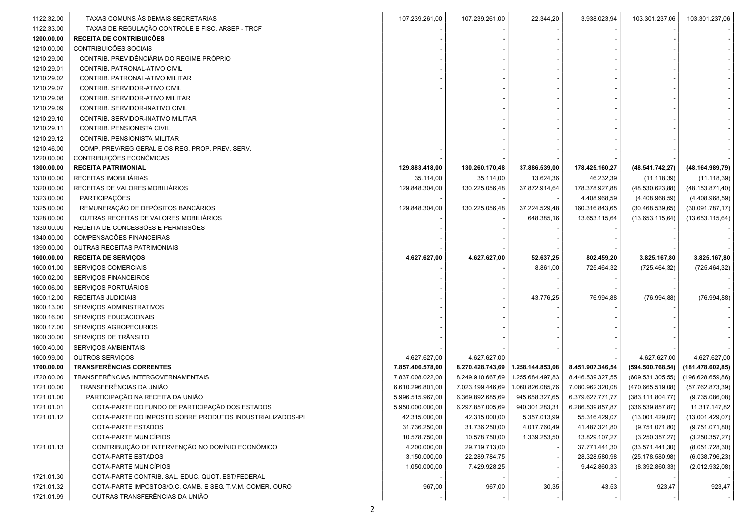| 1122.32.00               | TAXAS COMUNS ÀS DEMAIS SECRETARIAS                                                         | 107.239.261,00   | 107.239.261,00   | 22.344,20        | 3.938.023,94     | 103.301.237,06    | 103.301.237,06   |  |
|--------------------------|--------------------------------------------------------------------------------------------|------------------|------------------|------------------|------------------|-------------------|------------------|--|
| 1122.33.00               | TAXAS DE REGULAÇÃO CONTROLE E FISC. ARSEP - TRCF                                           |                  |                  |                  |                  |                   |                  |  |
| 1200.00.00               | <b>RECEITA DE CONTRIBUICÕES</b>                                                            |                  |                  |                  |                  |                   |                  |  |
| 1210.00.00               | CONTRIBUICÕES SOCIAIS                                                                      |                  |                  |                  |                  |                   |                  |  |
| 1210.29.00               | CONTRIB. PREVIDÊNCIÁRIA DO REGIME PRÓPRIO                                                  |                  |                  |                  |                  |                   |                  |  |
| 1210.29.01               | CONTRIB. PATRONAL-ATIVO CIVIL                                                              |                  |                  |                  |                  |                   |                  |  |
| 1210.29.02               | CONTRIB. PATRONAL-ATIVO MILITAR                                                            |                  |                  |                  |                  |                   |                  |  |
| 1210.29.07               | CONTRIB. SERVIDOR-ATIVO CIVIL                                                              |                  |                  |                  |                  |                   |                  |  |
| 1210.29.08               | CONTRIB. SERVIDOR-ATIVO MILITAR                                                            |                  |                  |                  |                  |                   |                  |  |
| 1210.29.09               | CONTRIB. SERVIDOR-INATIVO CIVIL                                                            |                  |                  |                  |                  |                   |                  |  |
| 1210.29.10               | CONTRIB. SERVIDOR-INATIVO MILITAR                                                          |                  |                  |                  |                  |                   |                  |  |
| 1210.29.11               | CONTRIB. PENSIONISTA CIVIL                                                                 |                  |                  |                  |                  |                   |                  |  |
| 1210.29.12               | CONTRIB. PENSIONISTA MILITAR                                                               |                  |                  |                  |                  |                   |                  |  |
| 1210.46.00               | COMP. PREV/REG GERAL E OS REG. PROP. PREV. SERV.                                           |                  |                  |                  |                  |                   |                  |  |
| 1220.00.00               | CONTRIBUIÇÕES ECONÔMICAS                                                                   |                  |                  |                  |                  |                   |                  |  |
| 1300.00.00               | <b>RECEITA PATRIMONIAL</b>                                                                 | 129.883.418,00   | 130.260.170,48   | 37.886.539,00    | 178.425.160,27   | (48.541.742, 27)  | (48.164.989,79)  |  |
| 1310.00.00               | RECEITAS IMOBILIÁRIAS                                                                      | 35.114,00        | 35.114,00        | 13.624,36        | 46.232,39        | (11.118, 39)      | (11.118, 39)     |  |
| 1320.00.00               | RECEITAS DE VALORES MOBILIÁRIOS                                                            | 129.848.304,00   | 130.225.056,48   | 37.872.914,64    | 178.378.927,88   | (48.530.623, 88)  | (48.153.871, 40) |  |
| 1323.00.00               | PARTICIPAÇÕES                                                                              |                  |                  |                  | 4.408.968,59     | (4.408.968,59)    | (4.408.968,59)   |  |
| 1325.00.00               | REMUNERAÇÃO DE DEPÓSITOS BANCÁRIOS                                                         | 129.848.304,00   | 130.225.056,48   | 37.224.529,48    | 160.316.843,65   | (30.468.539, 65)  | (30.091.787, 17) |  |
| 1328.00.00               | OUTRAS RECEITAS DE VALORES MOBILIÁRIOS                                                     |                  |                  | 648.385,16       | 13.653.115,64    | (13.653.115, 64)  | (13.653.115, 64) |  |
| 1330.00.00               | RECEITA DE CONCESSÕES E PERMISSÕES                                                         |                  |                  |                  |                  |                   |                  |  |
| 1340.00.00               | COMPENSACÕES FINANCEIRAS                                                                   |                  |                  |                  |                  |                   |                  |  |
| 1390.00.00               | OUTRAS RECEITAS PATRIMONIAIS                                                               |                  |                  |                  |                  |                   |                  |  |
| 1600.00.00               | <b>RECEITA DE SERVIÇOS</b>                                                                 | 4.627.627,00     | 4.627.627,00     | 52.637,25        | 802.459,20       | 3.825.167,80      | 3.825.167,80     |  |
|                          |                                                                                            |                  |                  |                  |                  |                   |                  |  |
|                          |                                                                                            |                  |                  |                  |                  |                   |                  |  |
| 1600.01.00               | SERVIÇOS COMERCIAIS                                                                        |                  |                  | 8.861,00         | 725.464,32       | (725.464, 32)     | (725.464, 32)    |  |
| 1600.02.00               | SERVIÇOS FINANCEIROS                                                                       |                  |                  |                  |                  |                   |                  |  |
| 1600.06.00               | SERVIÇOS PORTUÁRIOS                                                                        |                  |                  |                  |                  |                   |                  |  |
| 1600.12.00               | RECEITAS JUDICIAIS                                                                         |                  |                  | 43.776,25        | 76.994,88        | (76.994, 88)      | (76.994, 88)     |  |
| 1600.13.00               | SERVIÇOS ADMINISTRATIVOS                                                                   |                  |                  |                  |                  |                   |                  |  |
| 1600.16.00               | SERVIÇOS EDUCACIONAIS                                                                      |                  |                  |                  |                  |                   |                  |  |
| 1600.17.00               | SERVIÇOS AGROPECURIOS                                                                      |                  |                  |                  |                  |                   |                  |  |
| 1600.30.00               | SERVIÇOS DE TRÂNSITO                                                                       |                  |                  |                  |                  |                   |                  |  |
| 1600.40.00               | SERVIÇOS AMBIENTAIS                                                                        |                  |                  |                  |                  |                   |                  |  |
| 1600.99.00               | OUTROS SERVIÇOS                                                                            | 4.627.627,00     | 4.627.627,00     |                  |                  | 4.627.627,00      | 4.627.627,00     |  |
| 1700.00.00               | <b>TRANSFERÊNCIAS CORRENTES</b>                                                            | 7.857.406.578,00 | 8.270.428.743,69 | 1.258.144.853,08 | 8.451.907.346,54 | (594.500.768, 54) | (181.478.602,85) |  |
| 1720.00.00               | TRANSFERÊNCIAS INTERGOVERNAMENTAIS                                                         | 7.837.008.022,00 | 8.249.910.667,69 | 1.255.684.497,83 | 8.446.539.327,55 | (609.531.305,55)  | (196.628.659,86) |  |
| 1721.00.00               | TRANSFERÊNCIAS DA UNIÃO                                                                    | 6.610.296.801,00 | 7.023.199.446,69 | 1.060.826.085,76 | 7.080.962.320,08 | (470.665.519,08)  | (57.762.873, 39) |  |
| 1721.01.00               | PARTICIPAÇÃO NA RECEITA DA UNIÃO                                                           | 5.996.515.967,00 | 6.369.892.685,69 | 945.658.327,65   | 6.379.627.771,77 | (383.111.804, 77) | (9.735.086,08)   |  |
| 1721.01.01               | COTA-PARTE DO FUNDO DE PARTICIPAÇÃO DOS ESTADOS                                            | 5.950.000.000,00 | 6.297.857.005,69 | 940.301.283,31   | 6.286.539.857,87 | (336.539.857, 87) | 11.317.147,82    |  |
| 1721.01.12               | COTA-PARTE DO IMPOSTO SOBRE PRODUTOS INDUSTRIALIZADOS-IPI                                  | 42.315.000,00    | 42.315.000,00    | 5.357.013,99     | 55.316.429,07    | (13.001.429,07)   | (13.001.429,07)  |  |
|                          | <b>COTA-PARTE ESTADOS</b>                                                                  | 31.736.250,00    | 31.736.250,00    | 4.017.760,49     | 41.487.321,80    | (9.751.071,80)    | (9.751.071,80)   |  |
|                          | COTA-PARTE MUNICÍPIOS                                                                      | 10.578.750,00    | 10.578.750,00    | 1.339.253,50     | 13.829.107,27    | (3.250.357, 27)   | (3.250.357,27)   |  |
| 1721.01.13               | CONTRIBUIÇÃO DE INTERVENÇÃO NO DOMÍNIO ECONÔMICO                                           | 4.200.000,00     | 29.719.713,00    |                  | 37.771.441,30    | (33.571.441,30)   | (8.051.728, 30)  |  |
|                          | COTA-PARTE ESTADOS                                                                         | 3.150.000,00     | 22.289.784,75    |                  | 28.328.580,98    | (25.178.580,98)   | (6.038.796, 23)  |  |
|                          | COTA-PARTE MUNICÍPIOS                                                                      | 1.050.000,00     | 7.429.928,25     |                  | 9.442.860,33     | (8.392.860, 33)   | (2.012.932,08)   |  |
| 1721.01.30               | COTA-PARTE CONTRIB. SAL. EDUC. QUOT. EST/FEDERAL                                           |                  |                  |                  |                  |                   |                  |  |
| 1721.01.32<br>1721.01.99 | COTA-PARTE IMPOSTOS/O.C. CAMB. E SEG. T.V.M. COMER. OURO<br>OUTRAS TRANSFERÊNCIAS DA UNIÃO | 967,00           | 967,00           | 30,35            | 43,53            | 923,47            | 923,47           |  |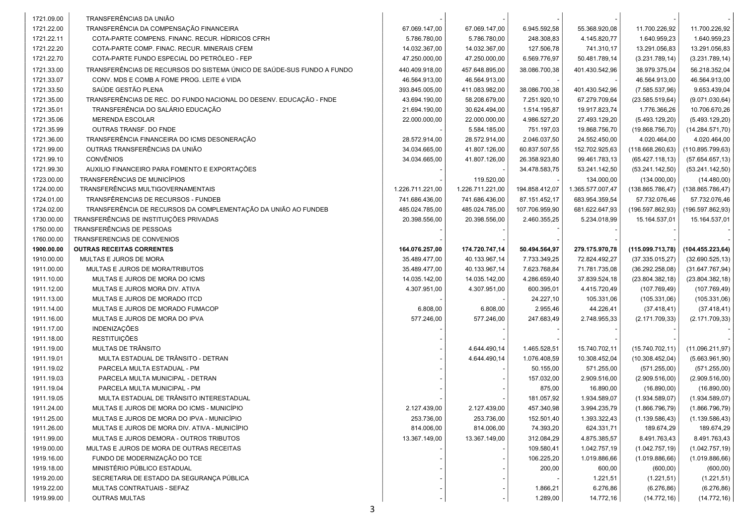|                          | TRANSFERÊNCIAS DA UNIÃO                                                |                  |                  |                |                  |                               |                               |  |
|--------------------------|------------------------------------------------------------------------|------------------|------------------|----------------|------------------|-------------------------------|-------------------------------|--|
| 1721.09.00<br>1721.22.00 | TRANSFERÊNCIA DA COMPENSAÇÃO FINANCEIRA                                | 67.069.147,00    | 67.069.147,00    | 6.945.592,58   | 55.368.920,08    |                               |                               |  |
| 1721.22.11               | COTA-PARTE COMPENS, FINANC, RECUR, HÍDRICOS CFRH                       | 5.786.780,00     | 5.786.780,00     | 248.308,83     | 4.145.820,77     | 11.700.226,92<br>1.640.959,23 | 11.700.226,92<br>1.640.959,23 |  |
| 1721.22.20               | COTA-PARTE COMP. FINAC. RECUR. MINERAIS CFEM                           | 14.032.367,00    | 14.032.367,00    | 127.506,78     | 741.310,17       | 13.291.056,83                 | 13.291.056,83                 |  |
| 1721.22.70               | COTA-PARTE FUNDO ESPECIAL DO PETRÓLEO - FEP                            | 47.250.000,00    | 47.250.000,00    | 6.569.776,97   | 50.481.789,14    |                               |                               |  |
|                          |                                                                        |                  |                  |                |                  | (3.231.789, 14)               | (3.231.789, 14)               |  |
| 1721.33.00               | TRANSFERÊNCIAS DE RECURSOS DO SISTEMA ÚNICO DE SAÚDE-SUS FUNDO A FUNDO | 440.409.918,00   | 457.648.895,00   | 38.086.700,38  | 401.430.542,96   | 38.979.375,04                 | 56.218.352,04                 |  |
| 1721.33.07               | CONV. MDS E COMB A FOME PROG. LEITE é VIDA                             | 46.564.913,00    | 46.564.913,00    |                |                  | 46.564.913,00                 | 46.564.913,00                 |  |
| 1721.33.50               | SAÚDE GESTÃO PLENA                                                     | 393.845.005,00   | 411.083.982,00   | 38.086.700,38  | 401.430.542,96   | (7.585.537,96)                | 9.653.439,04                  |  |
| 1721.35.00               | TRANSFERÊNCIAS DE REC. DO FUNDO NACIONAL DO DESENV. EDUCAÇÃO - FNDE    | 43.694.190,00    | 58.208.679,00    | 7.251.920,10   | 67.279.709,64    | (23.585.519, 64)              | (9.071.030, 64)               |  |
| 1721.35.01               | TRANSFERÊNCIA DO SALÁRIO EDUCAÇÃO                                      | 21.694.190,00    | 30.624.494,00    | 1.514.195,87   | 19.917.823,74    | 1.776.366,26                  | 10.706.670,26                 |  |
| 1721.35.06               | <b>MERENDA ESCOLAR</b>                                                 | 22.000.000,00    | 22.000.000,00    | 4.986.527,20   | 27.493.129,20    | (5.493.129,20)                | (5.493.129,20)                |  |
| 1721.35.99               | OUTRAS TRANSF. DO FNDE                                                 |                  | 5.584.185,00     | 751.197,03     | 19.868.756,70    | (19.868.756, 70)              | (14.284.571,70)               |  |
| 1721.36.00               | TRANSFERÊNCIA FINANCEIRA DO ICMS DESONERAÇÃO                           | 28.572.914,00    | 28.572.914,00    | 2.046.037,50   | 24.552.450,00    | 4.020.464,00                  | 4.020.464,00                  |  |
| 1721.99.00               | OUTRAS TRANSFERÊNCIAS DA UNIÃO                                         | 34.034.665,00    | 41.807.126,00    | 60.837.507,55  | 152.702.925,63   | (118.668.260, 63)             | (110.895.799.63)              |  |
| 1721.99.10               | <b>CONVÊNIOS</b>                                                       | 34.034.665,00    | 41.807.126,00    | 26.358.923,80  | 99.461.783,13    | (65.427.118, 13)              | (57.654.657, 13)              |  |
| 1721.99.30               | AUXILIO FINANCEIRO PARA FOMENTO E EXPORTAÇÕES                          |                  |                  | 34.478.583,75  | 53.241.142,50    | (53.241.142,50)               | (53.241.142,50)               |  |
| 1723.00.00               | TRANSFERÊNCIAS DE MUNICÍPIOS                                           |                  | 119.520,00       |                | 134.000,00       | (134.000,00)                  | (14.480,00)                   |  |
| 1724.00.00               | TRANSFERÊNCIAS MULTIGOVERNAMENTAIS                                     | 1.226.711.221,00 | 1.226.711.221,00 | 194.858.412,07 | 1.365.577.007,47 | (138.865.786, 47)             | (138.865.786, 47)             |  |
| 1724.01.00               | TRANSFÊRENCIAS DE RECURSOS - FUNDEB                                    | 741.686.436,00   | 741.686.436,00   | 87.151.452,17  | 683.954.359,54   | 57.732.076,46                 | 57.732.076,46                 |  |
| 1724.02.00               | TRANSFERÊNCIA DE RECURSOS DA COMPLEMENTAÇÃO DA UNIÃO AO FUNDEB         | 485.024.785,00   | 485.024.785,00   | 107.706.959,90 | 681.622.647,93   | (196.597.862,93)              | (196.597.862,93)              |  |
| 1730.00.00               | TRANSFERÊNCIAS DE INSTITUIÇÕES PRIVADAS                                | 20.398.556,00    | 20.398.556,00    | 2.460.355,25   | 5.234.018,99     | 15.164.537,01                 | 15.164.537,01                 |  |
| 1750.00.00               | TRANSFERÊNCIAS DE PESSOAS                                              |                  |                  |                |                  |                               |                               |  |
| 1760.00.00               | TRANSFERENCIAS DE CONVENIOS                                            |                  |                  |                |                  |                               |                               |  |
| 1900.00.00               | <b>OUTRAS RECEITAS CORRENTES</b>                                       | 164.076.257,00   | 174.720.747,14   | 50.494.564,97  | 279.175.970,78   | (115.099.713,78)              | (104.455.223, 64)             |  |
| 1910.00.00               | MULTAS E JUROS DE MORA                                                 | 35.489.477,00    | 40.133.967,14    | 7.733.349,25   | 72.824.492,27    | (37.335.015,27)               | (32.690.525, 13)              |  |
| 1911.00.00               | MULTAS E JUROS DE MORA/TRIBUTOS                                        | 35.489.477,00    | 40.133.967,14    | 7.623.768,84   | 71.781.735,08    | (36.292.258,08)               | (31.647.767, 94)              |  |
| 1911.10.00               | MULTAS E JUROS DE MORA DO ICMS                                         | 14.035.142,00    | 14.035.142,00    | 4.286.659,40   | 37.839.524,18    | (23.804.382, 18)              | (23.804.382, 18)              |  |
| 1911.12.00               | MULTAS E JUROS MORA DIV. ATIVA                                         | 4.307.951,00     | 4.307.951,00     | 600.395,01     | 4.415.720,49     | (107.769,49)                  | (107.769, 49)                 |  |
| 1911.13.00               | MULTAS E JUROS DE MORADO ITCD                                          |                  |                  | 24.227,10      | 105.331,06       | (105.331,06)                  | (105.331,06)                  |  |
| 1911.14.00               | MULTAS E JUROS DE MORADO FUMACOP                                       | 6.808,00         | 6.808,00         | 2.955,46       | 44.226,41        | (37.418, 41)                  | (37.418, 41)                  |  |
| 1911.16.00               | MULTAS E JUROS DE MORA DO IPVA                                         | 577.246,00       | 577.246,00       | 247.683,49     | 2.748.955,33     | (2.171.709, 33)               | (2.171.709, 33)               |  |
| 1911.17.00               | <b>INDENIZAÇÕES</b>                                                    |                  |                  |                |                  |                               |                               |  |
| 1911.18.00               | <b>RESTITUIÇÕES</b>                                                    |                  |                  |                |                  |                               |                               |  |
| 1911.19.00               | MULTAS DE TRÂNSITO                                                     |                  | 4.644.490,14     | 1.465.528,51   | 15.740.702,11    | (15.740.702, 11)              | (11.096.211,97)               |  |
| 1911.19.01               | MULTA ESTADUAL DE TRÂNSITO - DETRAN                                    |                  | 4.644.490,14     | 1.076.408,59   | 10.308.452,04    | (10.308.452,04)               | (5.663.961, 90)               |  |
| 1911.19.02               | PARCELA MULTA ESTADUAL - PM                                            |                  |                  | 50.155,00      | 571.255,00       | (571.255,00)                  | (571.255,00)                  |  |
| 1911.19.03               | PARCELA MULTA MUNICIPAL - DETRAN                                       |                  |                  | 157.032,00     | 2.909.516,00     | (2.909.516,00)                | (2.909.516,00)                |  |
| 1911.19.04               | PARCELA MULTA MUNICIPAL - PM                                           |                  |                  | 875,00         | 16.890,00        | (16.890,00)                   | (16.890,00)                   |  |
| 1911.19.05               | MULTA ESTADUAL DE TRÂNSITO INTERESTADUAL                               |                  |                  | 181.057,92     | 1.934.589,07     | (1.934.589,07)                | (1.934.589,07)                |  |
| 1911.24.00               | MULTAS E JUROS DE MORA DO ICMS - MUNICÍPIO                             | 2.127.439,00     | 2.127.439,00     | 457.340,98     | 3.994.235,79     | (1.866.796, 79)               | (1.866.796,79)                |  |
| 1911.25.00               | MULTAS E JUROS DE MORA DO IPVA - MUNICÍPIO                             | 253.736,00       | 253.736,00       | 152.501,40     | 1.393.322,43     | (1.139.586, 43)               | (1.139.586, 43)               |  |
| 1911.26.00               | MULTAS E JUROS DE MORA DIV. ATIVA - MUNICÍPIO                          | 814.006,00       | 814.006,00       | 74.393,20      | 624.331,71       | 189.674,29                    | 189.674,29                    |  |
| 1911.99.00               | MULTAS E JUROS DEMORA - OUTROS TRIBUTOS                                | 13.367.149.00    | 13.367.149,00    | 312.084,29     | 4.875.385,57     | 8.491.763,43                  | 8.491.763,43                  |  |
| 1919.00.00               | MULTAS E JUROS DE MORA DE OUTRAS RECEITAS                              |                  |                  | 109.580,41     | 1.042.757,19     | (1.042.757, 19)               | (1.042.757, 19)               |  |
| 1919.16.00               | FUNDO DE MODERNIZAÇÃO DO TCE                                           |                  |                  | 106.225,20     | 1.019.886,66     | (1.019.886, 66)               | (1.019.886, 66)               |  |
| 1919.18.00               | MINISTÉRIO PÚBLICO ESTADUAL                                            |                  |                  | 200,00         | 600,00           | (600, 00)                     | (600, 00)                     |  |
| 1919.20.00               | SECRETARIA DE ESTADO DA SEGURANÇA PÚBLICA                              |                  |                  |                | 1.221,51         | (1.221, 51)                   | (1.221, 51)                   |  |
| 1919.22.00               | MULTAS CONTRATUAIS - SEFAZ                                             |                  |                  | 1.866,21       | 6.276,86         | (6.276, 86)                   | (6.276, 86)                   |  |
| 1919.99.00               | <b>OUTRAS MULTAS</b>                                                   |                  |                  | 1.289,00       | 14.772,16        | (14.772, 16)                  | (14.772, 16)                  |  |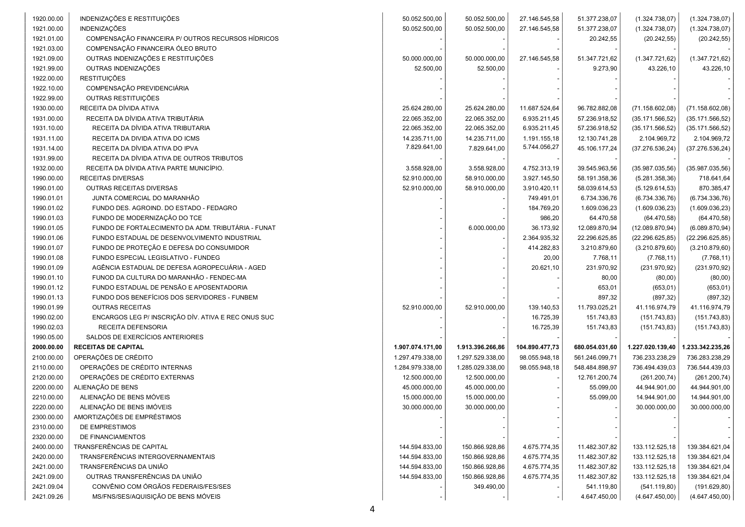| 1920.00.00 | INDENIZAÇÕES E RESTITUIÇÕES                         | 50.052.500,00    | 50.052.500,00    | 27.146.545,58  | 51.377.238,07  | (1.324.738,07)   | (1.324.738,07)   |
|------------|-----------------------------------------------------|------------------|------------------|----------------|----------------|------------------|------------------|
| 1921.00.00 | <b>INDENIZAÇÕES</b>                                 | 50.052.500,00    | 50.052.500,00    | 27.146.545,58  | 51.377.238,07  | (1.324.738,07)   | (1.324.738,07)   |
| 1921.01.00 | COMPENSAÇÃO FINANCEIRA P/ OUTROS RECURSOS HÍDRICOS  |                  |                  |                | 20.242,55      | (20.242, 55)     | (20.242, 55)     |
| 1921.03.00 | COMPENSAÇÃO FINANCEIRA ÓLEO BRUTO                   |                  |                  |                |                |                  |                  |
| 1921.09.00 | OUTRAS INDENIZAÇÕES E RESTITUIÇÕES                  | 50.000.000,00    | 50.000.000,00    | 27.146.545,58  | 51.347.721,62  | (1.347.721, 62)  | (1.347.721,62)   |
| 1921.99.00 | OUTRAS INDENIZAÇÕES                                 | 52.500,00        | 52.500,00        |                | 9.273,90       | 43.226,10        | 43.226,10        |
| 1922.00.00 | <b>RESTITUIÇÕES</b>                                 |                  |                  |                |                |                  |                  |
| 1922.10.00 | COMPENSAÇÃO PREVIDENCIÁRIA                          |                  |                  |                |                |                  |                  |
| 1922.99.00 | OUTRAS RESTITUIÇÕES                                 |                  |                  |                |                |                  |                  |
| 1930.00.00 | RECEITA DA DÍVIDA ATIVA                             | 25.624.280,00    | 25.624.280,00    | 11.687.524,64  | 96.782.882,08  | (71.158.602,08)  | (71.158.602,08)  |
| 1931.00.00 | RECEITA DA DÍVIDA ATIVA TRIBUTÁRIA                  | 22.065.352,00    | 22.065.352,00    | 6.935.211,45   | 57.236.918,52  | (35.171.566, 52) | (35.171.566, 52) |
| 1931.10.00 | RECEITA DA DÍVIDA ATIVA TRIBUTARIA                  | 22.065.352,00    | 22.065.352,00    | 6.935.211,45   | 57.236.918,52  | (35.171.566, 52) | (35.171.566, 52) |
| 1931.11.00 | RECEITA DA DIVIDA ATIVA DO ICMS                     | 14.235.711,00    | 14.235.711,00    | 1.191.155,18   | 12.130.741,28  | 2.104.969,72     | 2.104.969,72     |
| 1931.14.00 | RECEITA DA DÍVIDA ATIVA DO IPVA                     | 7.829.641,00     | 7.829.641,00     | 5.744.056,27   | 45.106.177,24  | (37.276.536, 24) | (37.276.536, 24) |
| 1931.99.00 | RECEITA DA DÍVIDA ATIVA DE OUTROS TRIBUTOS          |                  |                  |                |                |                  |                  |
| 1932.00.00 | RECEITA DA DÍVIDA ATIVA PARTE MUNICÍPIO.            | 3.558.928,00     | 3.558.928,00     | 4.752.313,19   | 39.545.963,56  | (35.987.035,56)  | (35.987.035,56)  |
| 1990.00.00 | RECEITAS DIVERSAS                                   | 52.910.000,00    | 58.910.000,00    | 3.927.145,50   | 58.191.358,36  | (5.281.358, 36)  | 718.641,64       |
| 1990.01.00 | OUTRAS RECEITAS DIVERSAS                            | 52.910.000.00    | 58.910.000,00    | 3.910.420,11   | 58.039.614,53  | (5.129.614, 53)  | 870.385,47       |
| 1990.01.01 | JUNTA COMERCIAL DO MARANHÃO                         |                  |                  | 749.491,01     | 6.734.336,76   | (6.734.336,76)   | (6.734.336,76)   |
| 1990.01.02 | FUNDO DES. AGROIND. DO ESTADO - FEDAGRO             |                  |                  | 184.769,20     | 1.609.036,23   | (1.609.036, 23)  | (1.609.036, 23)  |
| 1990.01.03 | FUNDO DE MODERNIZAÇÃO DO TCE                        |                  |                  | 986,20         | 64.470,58      | (64.470, 58)     | (64.470, 58)     |
| 1990.01.05 | FUNDO DE FORTALECIMENTO DA ADM. TRIBUTÁRIA - FUNAT  |                  | 6.000.000,00     | 36.173,92      | 12.089.870,94  | (12.089.870, 94) | (6.089.870, 94)  |
| 1990.01.06 | FUNDO ESTADUAL DE DESENVOLVIMENTO INDUSTRIAL        |                  |                  | 2.364.935,32   | 22.296.625,85  | (22.296.625, 85) | (22.296.625, 85) |
| 1990.01.07 | FUNDO DE PROTEÇÃO E DEFESA DO CONSUMIDOR            |                  |                  | 414.282,83     | 3.210.879,60   | (3.210.879, 60)  | (3.210.879, 60)  |
| 1990.01.08 | FUNDO ESPECIAL LEGISLATIVO - FUNDEG                 |                  |                  | 20,00          | 7.768,11       | (7.768, 11)      | (7.768, 11)      |
| 1990.01.09 | AGÊNCIA ESTADUAL DE DEFESA AGROPECUÁRIA - AGED      |                  |                  | 20.621,10      | 231.970,92     | (231.970, 92)    | (231.970, 92)    |
| 1990.01.10 | FUNOD DA CULTURA DO MARANHÃO - FENDEC-MA            |                  |                  |                | 80,00          | (80,00)          | (80,00)          |
| 1990.01.12 | FUNDO ESTADUAL DE PENSÃO E APOSENTADORIA            |                  |                  |                | 653,01         | (653, 01)        | (653, 01)        |
| 1990.01.13 | FUNDO DOS BENEFÍCIOS DOS SERVIDORES - FUNBEM        |                  |                  |                | 897,32         | (897, 32)        | (897, 32)        |
| 1990.01.99 | <b>OUTRAS RECEITAS</b>                              | 52.910.000,00    | 52.910.000,00    | 139.140,53     | 11.793.025,21  | 41.116.974,79    | 41.116.974,79    |
| 1990.02.00 | ENCARGOS LEG P/ INSCRIÇÃO DÍV. ATIVA E REC ONUS SUC |                  |                  | 16.725,39      | 151.743,83     | (151.743, 83)    | (151.743, 83)    |
| 1990.02.03 | RECEITA DEFENSORIA                                  |                  |                  | 16.725,39      | 151.743,83     | (151.743, 83)    | (151.743, 83)    |
| 1990.05.00 | SALDOS DE EXERCÍCIOS ANTERIORES                     |                  |                  |                |                |                  |                  |
| 2000.00.00 | <b>RECEITAS DE CAPITAL</b>                          | 1.907.074.171,00 | 1.913.396.266,86 | 104.890.477,73 | 680.054.031,60 | 1.227.020.139,40 | 1.233.342.235,26 |
| 2100.00.00 | OPERAÇÕES DE CRÉDITO                                | 1.297.479.338,00 | 1.297.529.338,00 | 98.055.948,18  | 561.246.099,71 | 736.233.238,29   | 736.283.238,29   |
| 2110.00.00 | OPERAÇÕES DE CRÉDITO INTERNAS                       | 1.284.979.338,00 | 1.285.029.338,00 | 98.055.948,18  | 548.484.898,97 | 736.494.439,03   | 736.544.439,03   |
| 2120.00.00 | OPERAÇÕES DE CRÉDITO EXTERNAS                       | 12.500.000,00    | 12.500.000,00    |                | 12.761.200,74  | (261.200, 74)    | (261.200, 74)    |
| 2200.00.00 | ALIENAÇÃO DE BENS                                   | 45.000.000,00    | 45.000.000,00    |                | 55.099,00      | 44.944.901,00    | 44.944.901,00    |
| 2210.00.00 | ALIENAÇÃO DE BENS MÓVEIS                            | 15.000.000,00    | 15.000.000,00    |                | 55.099,00      | 14.944.901,00    | 14.944.901,00    |
| 2220.00.00 | ALIENAÇÃO DE BENS IMÓVEIS                           | 30.000.000,00    | 30.000.000,00    |                |                | 30.000.000,00    | 30.000.000,00    |
| 2300.00.00 | AMORTIZAÇÕES DE EMPRÉSTIMOS                         |                  |                  |                |                |                  |                  |
| 2310.00.00 | DE EMPRESTIMOS                                      |                  |                  |                |                |                  |                  |
| 2320.00.00 | DE FINANCIAMENTOS                                   |                  |                  |                |                |                  |                  |
| 2400.00.00 | TRANSFERÊNCIAS DE CAPITAL                           | 144.594.833,00   | 150.866.928,86   | 4.675.774,35   | 11.482.307,82  | 133.112.525,18   | 139.384.621,04   |
| 2420.00.00 | TRANSFERÊNCIAS INTERGOVERNAMENTAIS                  | 144.594.833,00   | 150.866.928,86   | 4.675.774,35   | 11.482.307,82  | 133.112.525,18   | 139.384.621,04   |
| 2421.00.00 | TRANSFERÊNCIAS DA UNIÃO                             | 144.594.833,00   | 150.866.928,86   | 4.675.774,35   | 11.482.307,82  | 133.112.525,18   | 139.384.621,04   |
| 2421.09.00 | OUTRAS TRANSFERÊNCIAS DA UNIÃO                      | 144.594.833,00   | 150.866.928,86   | 4.675.774,35   | 11.482.307,82  | 133.112.525,18   | 139.384.621,04   |
| 2421.09.04 | CONVÊNIO COM ÓRGÃOS FEDERAIS/FES/SES                |                  | 349.490,00       |                | 541.119,80     | (541.119,80)     | (191.629, 80)    |
| 2421.09.26 | MS/FNS/SES/AQUISIÇÃO DE BENS MÓVEIS                 |                  |                  |                | 4.647.450,00   | (4.647.450,00)   | (4.647.450,00)   |